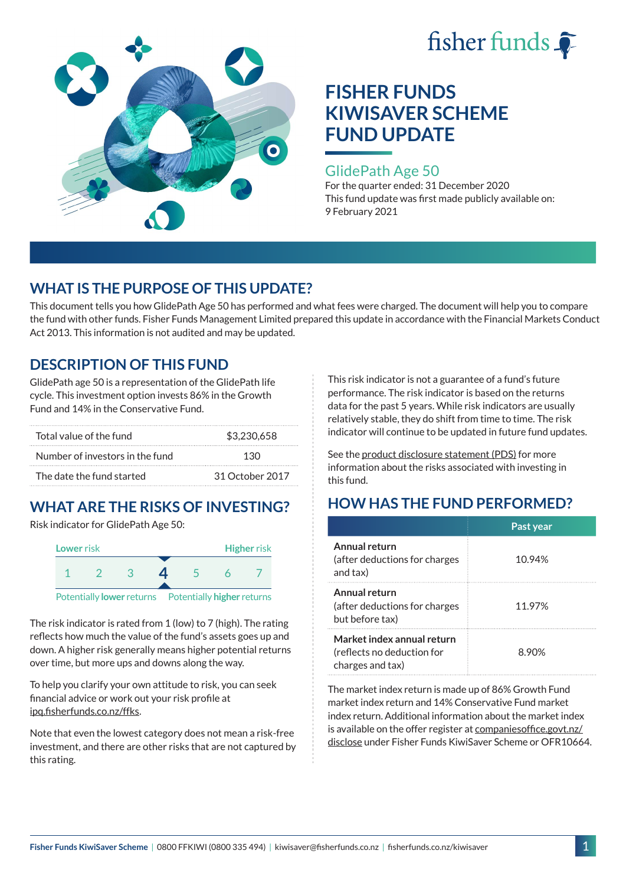



### GlidePath Age 50

For the quarter ended: 31 December 2020 This fund update was first made publicly available on: 9 February 2021

## **WHAT IS THE PURPOSE OF THIS UPDATE?**

This document tells you how GlidePath Age 50 has performed and what fees were charged. The document will help you to compare the fund with other funds. Fisher Funds Management Limited prepared this update in accordance with the Financial Markets Conduct Act 2013. This information is not audited and may be updated.

## **DESCRIPTION OF THIS FUND**

GlidePath age 50 is a representation of the GlidePath life cycle. This investment option invests 86% in the Growth Fund and 14% in the Conservative Fund.

| Total value of the fund         | \$3,230,658     |  |
|---------------------------------|-----------------|--|
| Number of investors in the fund | 130             |  |
| The date the fund started       | 31 October 2017 |  |

# **WHAT ARE THE RISKS OF INVESTING?**

Risk indicator for GlidePath Age 50:



The risk indicator is rated from 1 (low) to 7 (high). The rating reflects how much the value of the fund's assets goes up and down. A higher risk generally means higher potential returns over time, but more ups and downs along the way.

To help you clarify your own attitude to risk, you can seek financial advice or work out your risk profile at [ipq.fisherfunds.co.nz/ffks](https://ipq.fisherfunds.co.nz/ffks).

Note that even the lowest category does not mean a risk-free investment, and there are other risks that are not captured by this rating.

This risk indicator is not a guarantee of a fund's future performance. The risk indicator is based on the returns data for the past 5 years. While risk indicators are usually relatively stable, they do shift from time to time. The risk indicator will continue to be updated in future fund updates.

See the [product disclosure statement \(PDS\)](https://fisherfunds.co.nz/assets/PDS/Fisher-Funds-KiwiSaver-Scheme-PDS.pdf) for more information about the risks associated with investing in this fund.

## **HOW HAS THE FUND PERFORMED?**

|                                                                              | Past year |
|------------------------------------------------------------------------------|-----------|
| Annual return<br>(after deductions for charges<br>and tax)                   | 10.94%    |
| Annual return<br>(after deductions for charges<br>but before tax)            | 11.97%    |
| Market index annual return<br>(reflects no deduction for<br>charges and tax) | 8.90%     |

The market index return is made up of 86% Growth Fund market index return and 14% Conservative Fund market index return. Additional information about the market index is available on the offer register at [companiesoffice.govt.nz/](http://companiesoffice.govt.nz/disclose) [disclose](http://companiesoffice.govt.nz/disclose) under Fisher Funds KiwiSaver Scheme or OFR10664.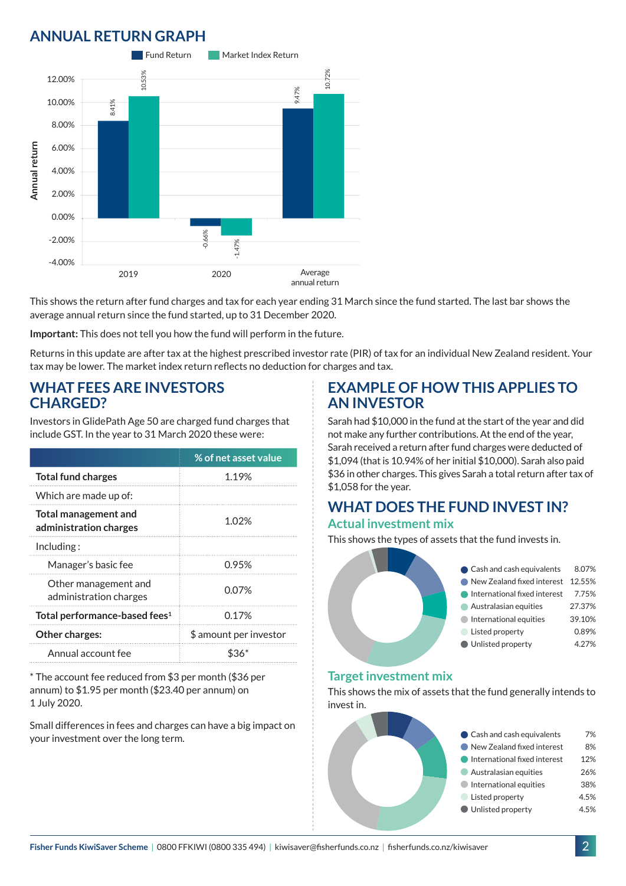## **ANNUAL RETURN GRAPH**



This shows the return after fund charges and tax for each year ending 31 March since the fund started. The last bar shows the average annual return since the fund started, up to 31 December 2020.

**Important:** This does not tell you how the fund will perform in the future.

Returns in this update are after tax at the highest prescribed investor rate (PIR) of tax for an individual New Zealand resident. Your tax may be lower. The market index return reflects no deduction for charges and tax.

### **WHAT FEES ARE INVESTORS CHARGED?**

Investors in GlidePath Age 50 are charged fund charges that include GST. In the year to 31 March 2020 these were:

|                                                       | % of net asset value   |  |
|-------------------------------------------------------|------------------------|--|
| <b>Total fund charges</b>                             | 1.19%                  |  |
| Which are made up of:                                 |                        |  |
| <b>Total management and</b><br>administration charges | 1.02%                  |  |
| Inding:                                               |                        |  |
| Manager's basic fee                                   | 0.95%                  |  |
| Other management and<br>administration charges        | 0.07%                  |  |
| Total performance-based fees <sup>1</sup>             | 0.17%                  |  |
| <b>Other charges:</b>                                 | \$ amount per investor |  |
| Annual account fee                                    |                        |  |

\* The account fee reduced from \$3 per month (\$36 per annum) to \$1.95 per month (\$23.40 per annum) on 1 July 2020.

Small differences in fees and charges can have a big impact on your investment over the long term.

### **EXAMPLE OF HOW THIS APPLIES TO AN INVESTOR**

Sarah had \$10,000 in the fund at the start of the year and did not make any further contributions. At the end of the year, Sarah received a return after fund charges were deducted of \$1,094 (that is 10.94% of her initial \$10,000). Sarah also paid \$36 in other charges. This gives Sarah a total return after tax of \$1,058 for the year.

#### **WHAT DOES THE FUND INVEST IN? Actual investment mix**

This shows the types of assets that the fund invests in.



#### **Target investment mix**

This shows the mix of assets that the fund generally intends to invest in.